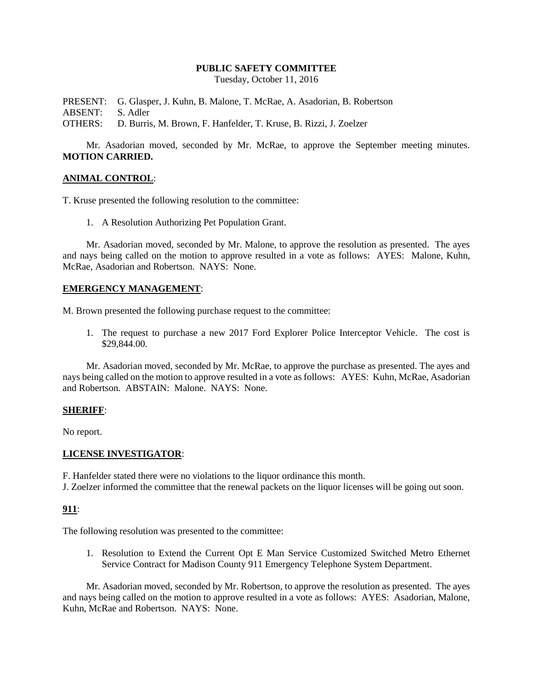#### **PUBLIC SAFETY COMMITTEE**

Tuesday, October 11, 2016

PRESENT: G. Glasper, J. Kuhn, B. Malone, T. McRae, A. Asadorian, B. Robertson ABSENT: S. Adler OTHERS: D. Burris, M. Brown, F. Hanfelder, T. Kruse, B. Rizzi, J. Zoelzer

Mr. Asadorian moved, seconded by Mr. McRae, to approve the September meeting minutes. **MOTION CARRIED.**

#### **ANIMAL CONTROL**:

T. Kruse presented the following resolution to the committee:

1. A Resolution Authorizing Pet Population Grant.

Mr. Asadorian moved, seconded by Mr. Malone, to approve the resolution as presented. The ayes and nays being called on the motion to approve resulted in a vote as follows: AYES: Malone, Kuhn, McRae, Asadorian and Robertson. NAYS: None.

# **EMERGENCY MANAGEMENT**:

M. Brown presented the following purchase request to the committee:

1. The request to purchase a new 2017 Ford Explorer Police Interceptor Vehicle. The cost is \$29,844.00.

Mr. Asadorian moved, seconded by Mr. McRae, to approve the purchase as presented. The ayes and nays being called on the motion to approve resulted in a vote as follows: AYES: Kuhn, McRae, Asadorian and Robertson. ABSTAIN: Malone. NAYS: None.

## **SHERIFF**:

No report.

## **LICENSE INVESTIGATOR**:

F. Hanfelder stated there were no violations to the liquor ordinance this month.

J. Zoelzer informed the committee that the renewal packets on the liquor licenses will be going out soon.

## **911**:

The following resolution was presented to the committee:

1. Resolution to Extend the Current Opt E Man Service Customized Switched Metro Ethernet Service Contract for Madison County 911 Emergency Telephone System Department.

Mr. Asadorian moved, seconded by Mr. Robertson, to approve the resolution as presented. The ayes and nays being called on the motion to approve resulted in a vote as follows: AYES: Asadorian, Malone, Kuhn, McRae and Robertson. NAYS: None.